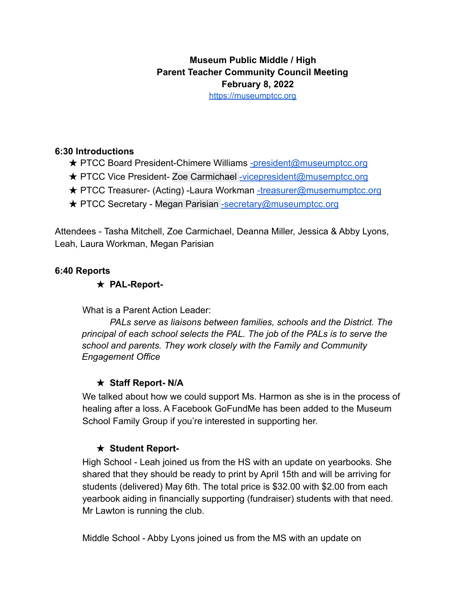# **Museum Public Middle / High Parent Teacher Community Council Meeting February 8, 2022**

https://museumptcc.org

#### **6:30 Introductions**

- **★ PTCC Board President-Chimere Williams -president@museumptcc.org**
- ★ PTCC Vice President- Zoe Carmichael -vicepresident@musemptcc.org
- **★ PTCC Treasurer- (Acting) -Laura Workman -treasurer@musemumptcc.org**
- ★ PTCC Secretary Megan Parisian -secretary@museumptcc.org

Attendees - Tasha Mitchell, Zoe Carmichael, Deanna Miller, Jessica & Abby Lyons, Leah, Laura Workman, Megan Parisian

### **6:40 Reports**

### ★ **PAL-Report-**

What is a Parent Action Leader:

*PALs serve as liaisons between families, schools and the District. The principal of each school selects the PAL. The job of the PALs is to serve the school and parents. They work closely with the Family and Community Engagement Office*

## ★ **Staff Report- N/A**

We talked about how we could support Ms. Harmon as she is in the process of healing after a loss. A Facebook GoFundMe has been added to the Museum School Family Group if you're interested in supporting her.

### ★ **Student Report-**

High School - Leah joined us from the HS with an update on yearbooks. She shared that they should be ready to print by April 15th and will be arriving for students (delivered) May 6th. The total price is \$32.00 with \$2.00 from each yearbook aiding in financially supporting (fundraiser) students with that need. Mr Lawton is running the club.

Middle School - Abby Lyons joined us from the MS with an update on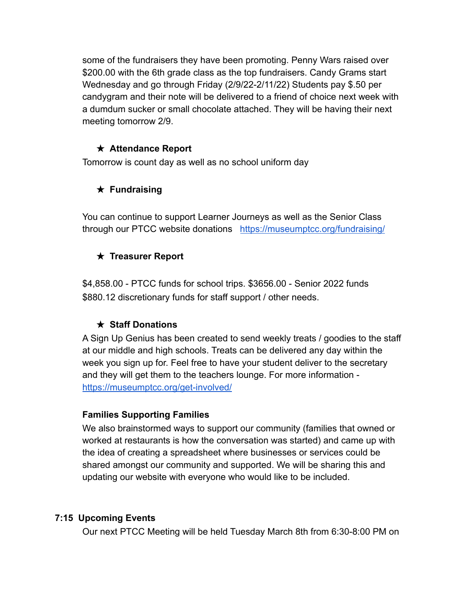some of the fundraisers they have been promoting. Penny Wars raised over \$200.00 with the 6th grade class as the top fundraisers. Candy Grams start Wednesday and go through Friday (2/9/22-2/11/22) Students pay \$.50 per candygram and their note will be delivered to a friend of choice next week with a dumdum sucker or small chocolate attached. They will be having their next meeting tomorrow 2/9.

#### ★ **Attendance Report**

Tomorrow is count day as well as no school uniform day

## ★ **Fundraising**

You can continue to support Learner Journeys as well as the Senior Class through our PTCC website donations <https://museumptcc.org/fundraising/>

## ★ **Treasurer Report**

\$4,858.00 - PTCC funds for school trips. \$3656.00 - Senior 2022 funds \$880.12 discretionary funds for staff support / other needs.

## ★ **Staff Donations**

A Sign Up Genius has been created to send weekly treats / goodies to the staff at our middle and high schools. Treats can be delivered any day within the week you sign up for. Feel free to have your student deliver to the secretary and they will get them to the teachers lounge. For more information <https://museumptcc.org/get-involved/>

### **Families Supporting Families**

We also brainstormed ways to support our community (families that owned or worked at restaurants is how the conversation was started) and came up with the idea of creating a spreadsheet where businesses or services could be shared amongst our community and supported. We will be sharing this and updating our website with everyone who would like to be included.

### **7:15 Upcoming Events**

Our next PTCC Meeting will be held Tuesday March 8th from 6:30-8:00 PM on